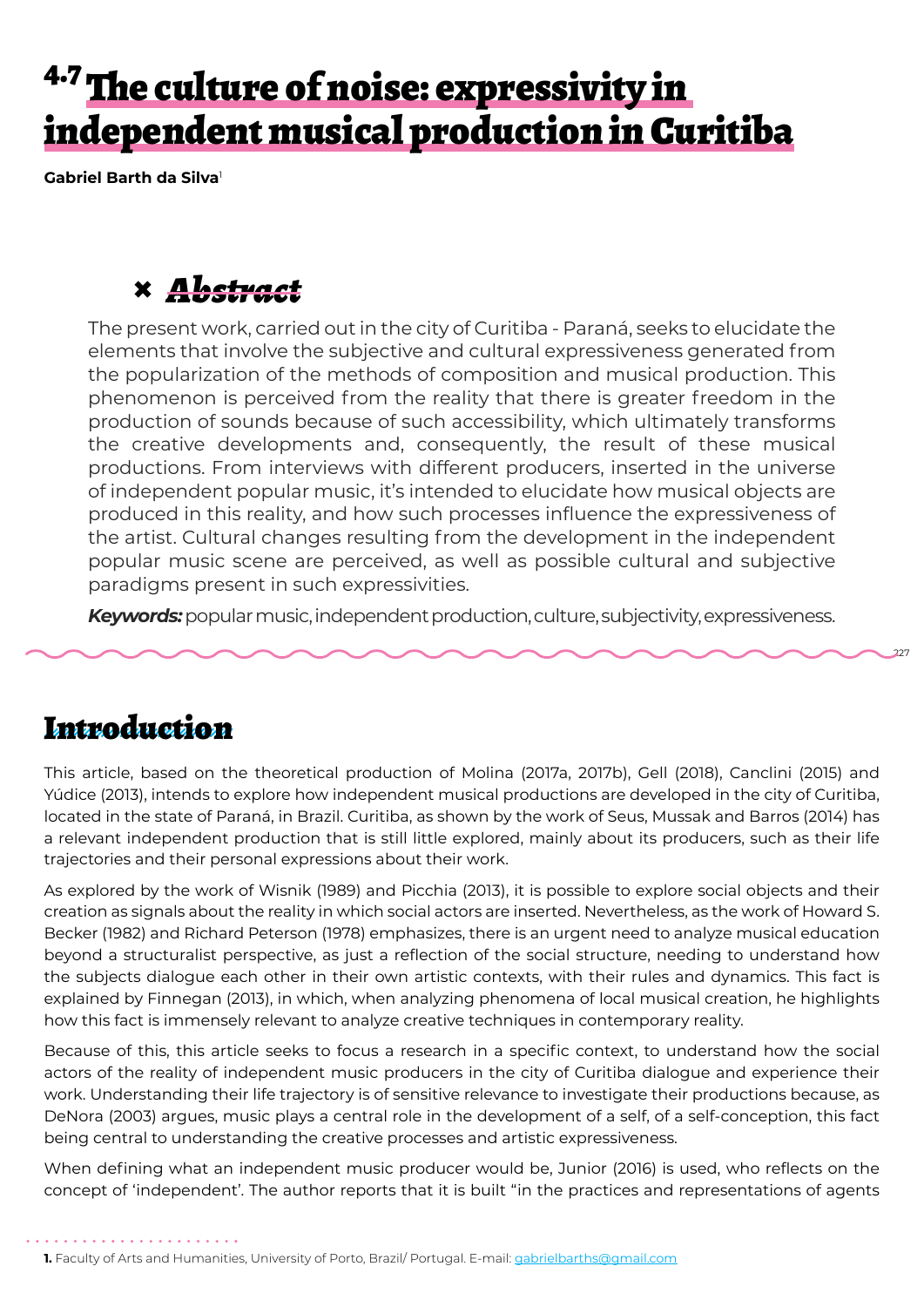# <sup>4.7</sup> The culture of noise: expressivity in independent musical production in Curitiba

**Gabriel Barth da Silva**<sup>1</sup>

### **×** *Abstract*

The present work, carried out in the city of Curitiba - Paraná, seeks to elucidate the elements that involve the subjective and cultural expressiveness generated from the popularization of the methods of composition and musical production. This phenomenon is perceived from the reality that there is greater freedom in the production of sounds because of such accessibility, which ultimately transforms the creative developments and, consequently, the result of these musical productions. From interviews with different producers, inserted in the universe of independent popular music, it's intended to elucidate how musical objects are produced in this reality, and how such processes influence the expressiveness of the artist. Cultural changes resulting from the development in the independent popular music scene are perceived, as well as possible cultural and subjective paradigms present in such expressivities.

*Keywords:*popular music, independent production, culture, subjectivity, expressiveness.

227

#### Introduction

This article, based on the theoretical production of Molina (2017a, 2017b), Gell (2018), Canclini (2015) and Yúdice (2013), intends to explore how independent musical productions are developed in the city of Curitiba, located in the state of Paraná, in Brazil. Curitiba, as shown by the work of Seus, Mussak and Barros (2014) has a relevant independent production that is still little explored, mainly about its producers, such as their life trajectories and their personal expressions about their work.

As explored by the work of Wisnik (1989) and Picchia (2013), it is possible to explore social objects and their creation as signals about the reality in which social actors are inserted. Nevertheless, as the work of Howard S. Becker (1982) and Richard Peterson (1978) emphasizes, there is an urgent need to analyze musical education beyond a structuralist perspective, as just a reflection of the social structure, needing to understand how the subjects dialogue each other in their own artistic contexts, with their rules and dynamics. This fact is explained by Finnegan (2013), in which, when analyzing phenomena of local musical creation, he highlights how this fact is immensely relevant to analyze creative techniques in contemporary reality.

Because of this, this article seeks to focus a research in a specific context, to understand how the social actors of the reality of independent music producers in the city of Curitiba dialogue and experience their work. Understanding their life trajectory is of sensitive relevance to investigate their productions because, as DeNora (2003) argues, music plays a central role in the development of a self, of a self-conception, this fact being central to understanding the creative processes and artistic expressiveness.

When defining what an independent music producer would be, Junior (2016) is used, who reflects on the concept of 'independent'. The author reports that it is built "in the practices and representations of agents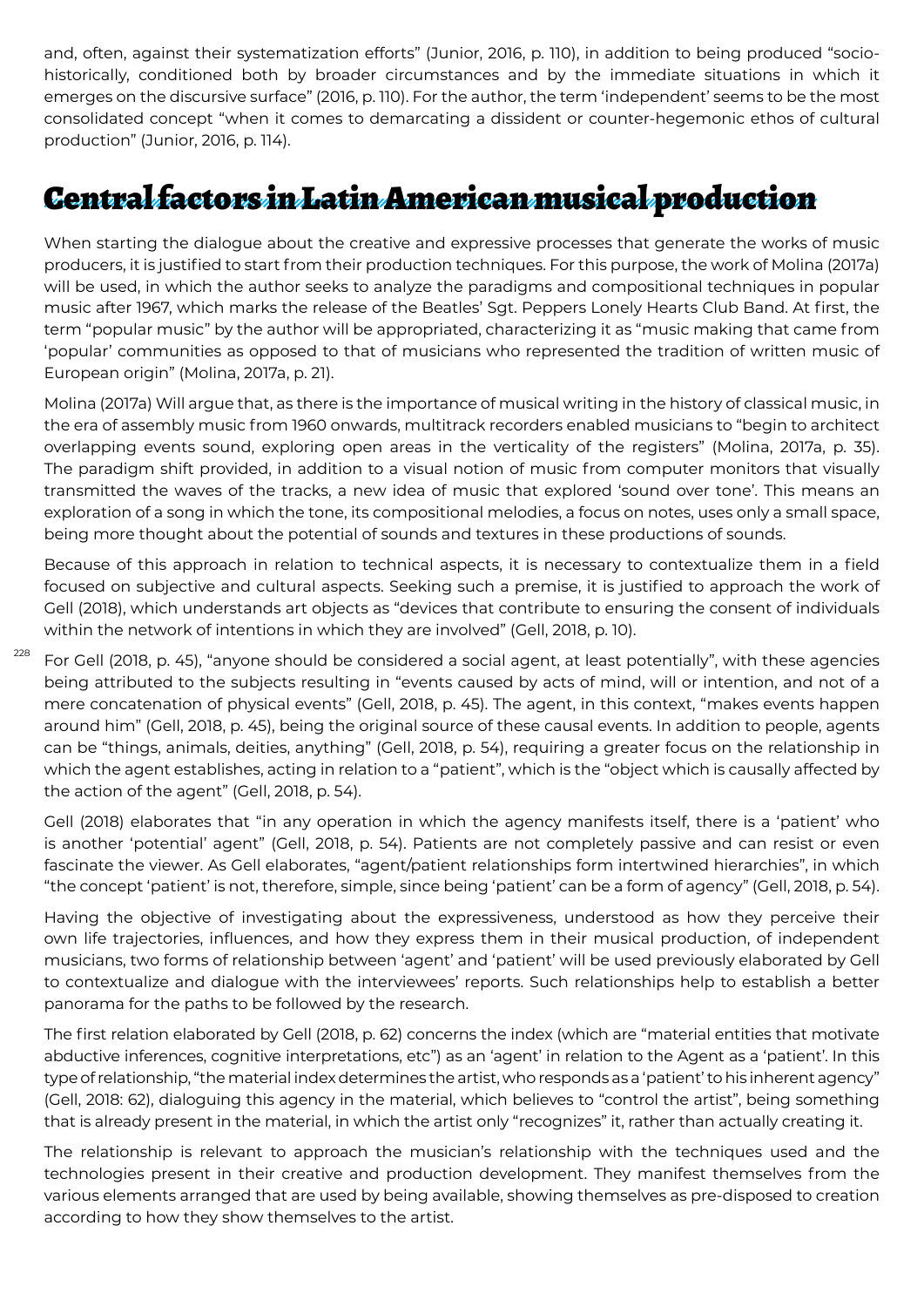and, often, against their systematization efforts" (Junior, 2016, p. 110), in addition to being produced "sociohistorically, conditioned both by broader circumstances and by the immediate situations in which it emerges on the discursive surface" (2016, p. 110). For the author, the term 'independent' seems to be the most consolidated concept "when it comes to demarcating a dissident or counter-hegemonic ethos of cultural production" (Junior, 2016, p. 114).

### Central factors in Latin American musical production

When starting the dialogue about the creative and expressive processes that generate the works of music producers, it is justified to start from their production techniques. For this purpose, the work of Molina (2017a) will be used, in which the author seeks to analyze the paradigms and compositional techniques in popular music after 1967, which marks the release of the Beatles' Sgt. Peppers Lonely Hearts Club Band. At first, the term "popular music" by the author will be appropriated, characterizing it as "music making that came from 'popular' communities as opposed to that of musicians who represented the tradition of written music of European origin" (Molina, 2017a, p. 21).

Molina (2017a) Will argue that, as there is the importance of musical writing in the history of classical music, in the era of assembly music from 1960 onwards, multitrack recorders enabled musicians to "begin to architect overlapping events sound, exploring open areas in the verticality of the registers" (Molina, 2017a, p. 35). The paradigm shift provided, in addition to a visual notion of music from computer monitors that visually transmitted the waves of the tracks, a new idea of music that explored 'sound over tone'. This means an exploration of a song in which the tone, its compositional melodies, a focus on notes, uses only a small space, being more thought about the potential of sounds and textures in these productions of sounds.

Because of this approach in relation to technical aspects, it is necessary to contextualize them in a field focused on subjective and cultural aspects. Seeking such a premise, it is justified to approach the work of Gell (2018), which understands art objects as "devices that contribute to ensuring the consent of individuals within the network of intentions in which they are involved" (Gell, 2018, p. 10).

228 For Gell (2018, p. 45), "anyone should be considered a social agent, at least potentially", with these agencies being attributed to the subjects resulting in "events caused by acts of mind, will or intention, and not of a mere concatenation of physical events" (Gell, 2018, p. 45). The agent, in this context, "makes events happen around him" (Gell, 2018, p. 45), being the original source of these causal events. In addition to people, agents can be "things, animals, deities, anything" (Gell, 2018, p. 54), requiring a greater focus on the relationship in which the agent establishes, acting in relation to a "patient", which is the "object which is causally affected by the action of the agent" (Gell, 2018, p. 54).

Gell (2018) elaborates that "in any operation in which the agency manifests itself, there is a 'patient' who is another 'potential' agent" (Gell, 2018, p. 54). Patients are not completely passive and can resist or even fascinate the viewer. As Gell elaborates, "agent/patient relationships form intertwined hierarchies", in which "the concept 'patient' is not, therefore, simple, since being 'patient' can be a form of agency" (Gell, 2018, p. 54).

Having the objective of investigating about the expressiveness, understood as how they perceive their own life trajectories, influences, and how they express them in their musical production, of independent musicians, two forms of relationship between 'agent' and 'patient' will be used previously elaborated by Gell to contextualize and dialogue with the interviewees' reports. Such relationships help to establish a better panorama for the paths to be followed by the research.

The first relation elaborated by Gell (2018, p. 62) concerns the index (which are "material entities that motivate abductive inferences, cognitive interpretations, etc") as an 'agent' in relation to the Agent as a 'patient'. In this type of relationship, "the material index determines the artist, who responds as a 'patient' to his inherent agency" (Gell, 2018: 62), dialoguing this agency in the material, which believes to "control the artist", being something that is already present in the material, in which the artist only "recognizes" it, rather than actually creating it.

The relationship is relevant to approach the musician's relationship with the techniques used and the technologies present in their creative and production development. They manifest themselves from the various elements arranged that are used by being available, showing themselves as pre-disposed to creation according to how they show themselves to the artist.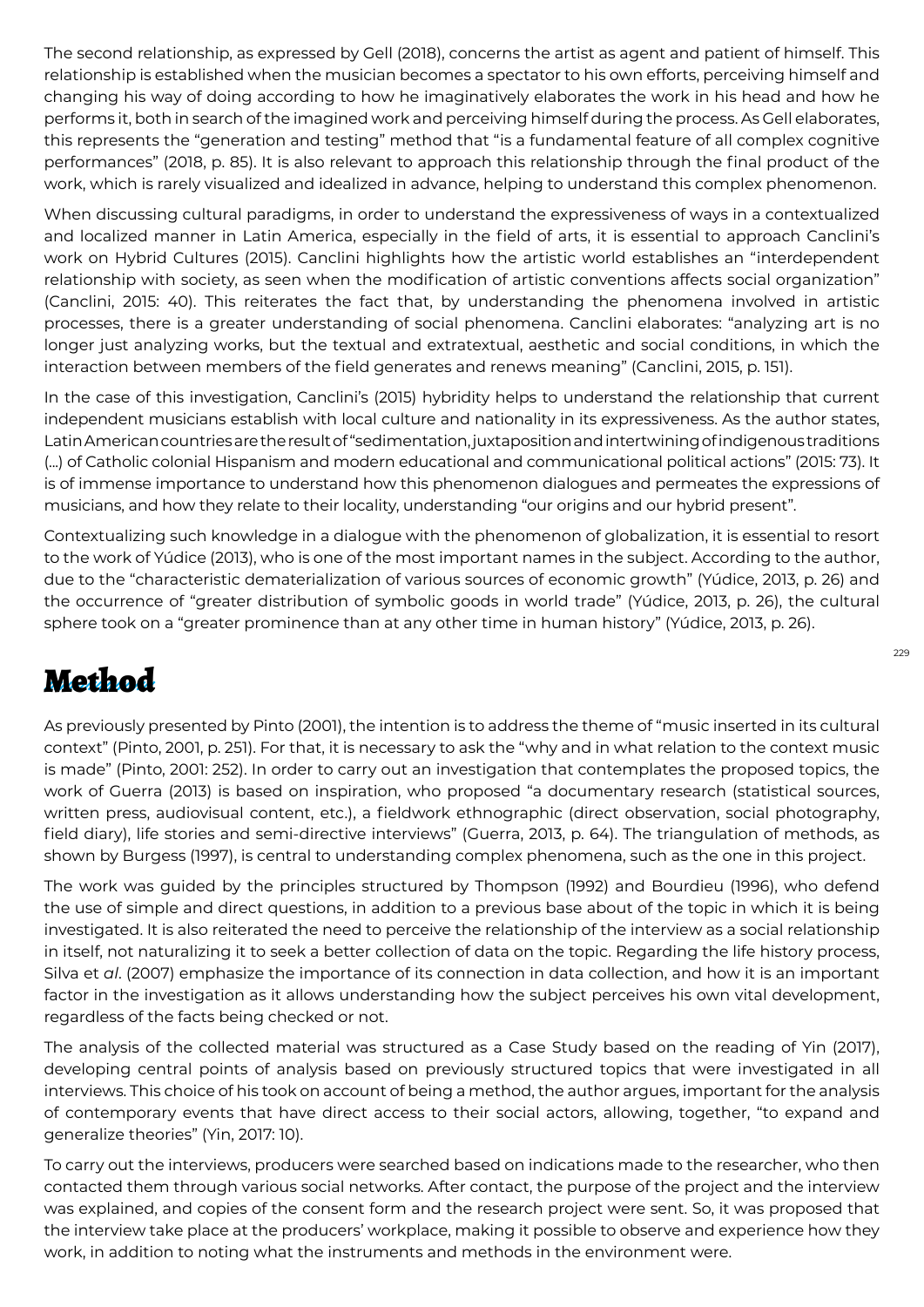The second relationship, as expressed by Gell (2018), concerns the artist as agent and patient of himself. This relationship is established when the musician becomes a spectator to his own efforts, perceiving himself and changing his way of doing according to how he imaginatively elaborates the work in his head and how he performs it, both in search of the imagined work and perceiving himself during the process. As Gell elaborates, this represents the "generation and testing" method that "is a fundamental feature of all complex cognitive performances" (2018, p. 85). It is also relevant to approach this relationship through the final product of the work, which is rarely visualized and idealized in advance, helping to understand this complex phenomenon.

When discussing cultural paradigms, in order to understand the expressiveness of ways in a contextualized and localized manner in Latin America, especially in the field of arts, it is essential to approach Canclini's work on Hybrid Cultures (2015). Canclini highlights how the artistic world establishes an "interdependent relationship with society, as seen when the modification of artistic conventions affects social organization" (Canclini, 2015: 40). This reiterates the fact that, by understanding the phenomena involved in artistic processes, there is a greater understanding of social phenomena. Canclini elaborates: "analyzing art is no longer just analyzing works, but the textual and extratextual, aesthetic and social conditions, in which the interaction between members of the field generates and renews meaning" (Canclini, 2015, p. 151).

In the case of this investigation, Canclini's (2015) hybridity helps to understand the relationship that current independent musicians establish with local culture and nationality in its expressiveness. As the author states, Latin American countries are the result of "sedimentation, juxtaposition and intertwining of indigenous traditions (...) of Catholic colonial Hispanism and modern educational and communicational political actions" (2015: 73). It is of immense importance to understand how this phenomenon dialogues and permeates the expressions of musicians, and how they relate to their locality, understanding "our origins and our hybrid present".

Contextualizing such knowledge in a dialogue with the phenomenon of globalization, it is essential to resort to the work of Yúdice (2013), who is one of the most important names in the subject. According to the author, due to the "characteristic dematerialization of various sources of economic growth" (Yúdice, 2013, p. 26) and the occurrence of "greater distribution of symbolic goods in world trade" (Yúdice, 2013, p. 26), the cultural sphere took on a "greater prominence than at any other time in human history" (Yúdice, 2013, p. 26).

## Method

As previously presented by Pinto (2001), the intention is to address the theme of "music inserted in its cultural context" (Pinto, 2001, p. 251). For that, it is necessary to ask the "why and in what relation to the context music is made" (Pinto, 2001: 252). In order to carry out an investigation that contemplates the proposed topics, the work of Guerra (2013) is based on inspiration, who proposed "a documentary research (statistical sources, written press, audiovisual content, etc.), a fieldwork ethnographic (direct observation, social photography, field diary), life stories and semi-directive interviews" (Guerra, 2013, p. 64). The triangulation of methods, as shown by Burgess (1997), is central to understanding complex phenomena, such as the one in this project.

The work was guided by the principles structured by Thompson (1992) and Bourdieu (1996), who defend the use of simple and direct questions, in addition to a previous base about of the topic in which it is being investigated. It is also reiterated the need to perceive the relationship of the interview as a social relationship in itself, not naturalizing it to seek a better collection of data on the topic. Regarding the life history process, Silva et *al*. (2007) emphasize the importance of its connection in data collection, and how it is an important factor in the investigation as it allows understanding how the subject perceives his own vital development, regardless of the facts being checked or not.

The analysis of the collected material was structured as a Case Study based on the reading of Yin (2017), developing central points of analysis based on previously structured topics that were investigated in all interviews. This choice of his took on account of being a method, the author argues, important for the analysis of contemporary events that have direct access to their social actors, allowing, together, "to expand and generalize theories" (Yin, 2017: 10).

To carry out the interviews, producers were searched based on indications made to the researcher, who then contacted them through various social networks. After contact, the purpose of the project and the interview was explained, and copies of the consent form and the research project were sent. So, it was proposed that the interview take place at the producers' workplace, making it possible to observe and experience how they work, in addition to noting what the instruments and methods in the environment were.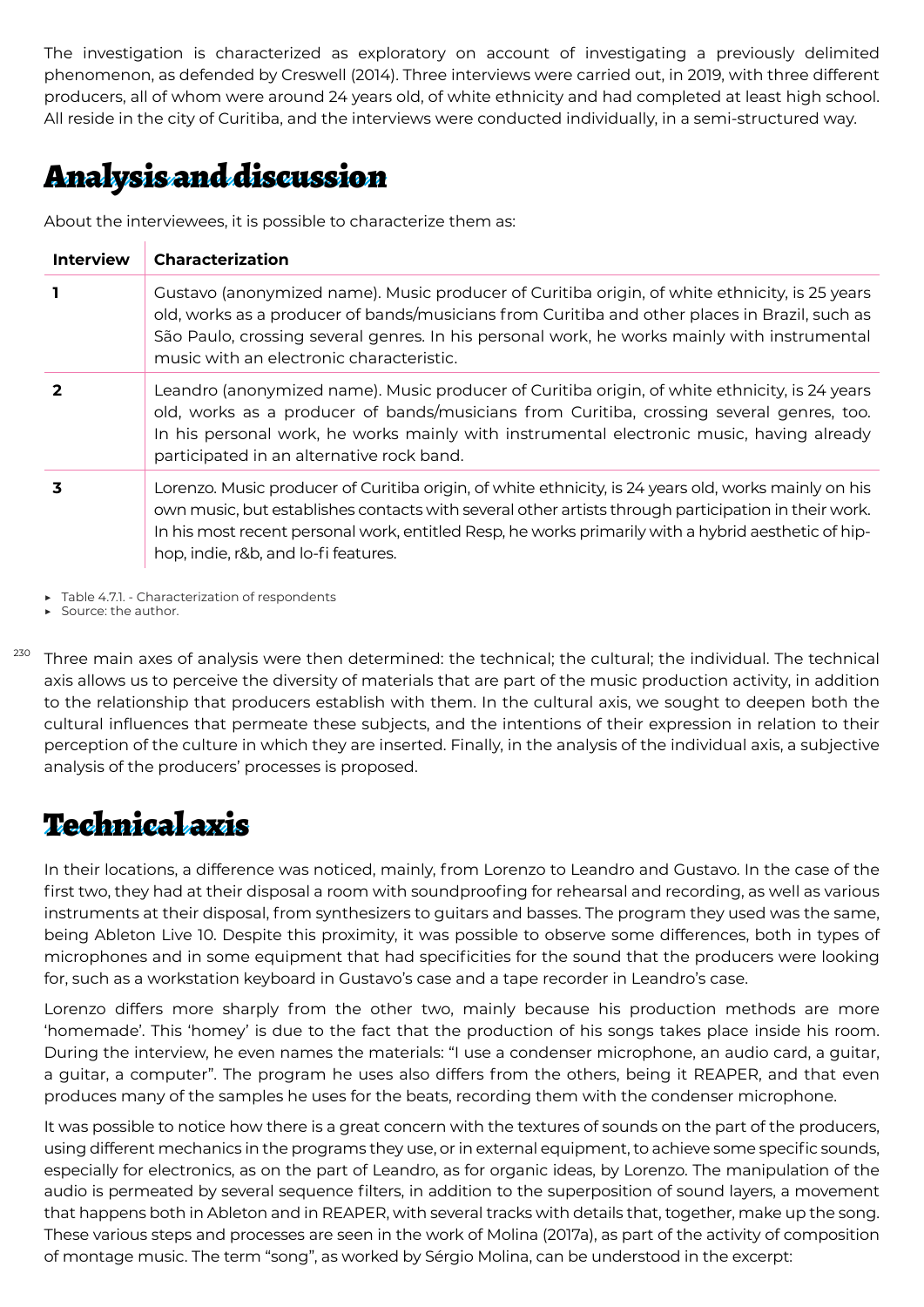The investigation is characterized as exploratory on account of investigating a previously delimited phenomenon, as defended by Creswell (2014). Three interviews were carried out, in 2019, with three different producers, all of whom were around 24 years old, of white ethnicity and had completed at least high school. All reside in the city of Curitiba, and the interviews were conducted individually, in a semi-structured way.

### Analysis and discussion

About the interviewees, it is possible to characterize them as:

| <b>Interview</b> | <b>Characterization</b>                                                                                                                                                                                                                                                                                                                                    |
|------------------|------------------------------------------------------------------------------------------------------------------------------------------------------------------------------------------------------------------------------------------------------------------------------------------------------------------------------------------------------------|
| $\mathbf{I}$     | Gustavo (anonymized name). Music producer of Curitiba origin, of white ethnicity, is 25 years<br>old, works as a producer of bands/musicians from Curitiba and other places in Brazil, such as<br>São Paulo, crossing several genres. In his personal work, he works mainly with instrumental<br>music with an electronic characteristic.                  |
| $\mathbf{2}$     | Leandro (anonymized name). Music producer of Curitiba origin, of white ethnicity, is 24 years<br>old, works as a producer of bands/musicians from Curitiba, crossing several genres, too.<br>In his personal work, he works mainly with instrumental electronic music, having already<br>participated in an alternative rock band.                         |
| 3                | Lorenzo. Music producer of Curitiba origin, of white ethnicity, is 24 years old, works mainly on his<br>own music, but establishes contacts with several other artists through participation in their work.<br>In his most recent personal work, entitled Resp, he works primarily with a hybrid aesthetic of hip-<br>hop, indie, r&b, and lo-fi features. |

▶ Table 4.7.1. - Characterization of respondents

▶ Source: the author.

 $^{230}$  Three main axes of analysis were then determined: the technical; the cultural; the individual. The technical axis allows us to perceive the diversity of materials that are part of the music production activity, in addition to the relationship that producers establish with them. In the cultural axis, we sought to deepen both the cultural influences that permeate these subjects, and the intentions of their expression in relation to their perception of the culture in which they are inserted. Finally, in the analysis of the individual axis, a subjective analysis of the producers' processes is proposed.

#### **Technical axis**

In their locations, a difference was noticed, mainly, from Lorenzo to Leandro and Gustavo. In the case of the first two, they had at their disposal a room with soundproofing for rehearsal and recording, as well as various instruments at their disposal, from synthesizers to guitars and basses. The program they used was the same, being Ableton Live 10. Despite this proximity, it was possible to observe some differences, both in types of microphones and in some equipment that had specificities for the sound that the producers were looking for, such as a workstation keyboard in Gustavo's case and a tape recorder in Leandro's case.

Lorenzo differs more sharply from the other two, mainly because his production methods are more 'homemade'. This 'homey' is due to the fact that the production of his songs takes place inside his room. During the interview, he even names the materials: "I use a condenser microphone, an audio card, a guitar, a guitar, a computer". The program he uses also differs from the others, being it REAPER, and that even produces many of the samples he uses for the beats, recording them with the condenser microphone.

It was possible to notice how there is a great concern with the textures of sounds on the part of the producers, using different mechanics in the programs they use, or in external equipment, to achieve some specific sounds, especially for electronics, as on the part of Leandro, as for organic ideas, by Lorenzo. The manipulation of the audio is permeated by several sequence filters, in addition to the superposition of sound layers, a movement that happens both in Ableton and in REAPER, with several tracks with details that, together, make up the song. These various steps and processes are seen in the work of Molina (2017a), as part of the activity of composition of montage music. The term "song", as worked by Sérgio Molina, can be understood in the excerpt: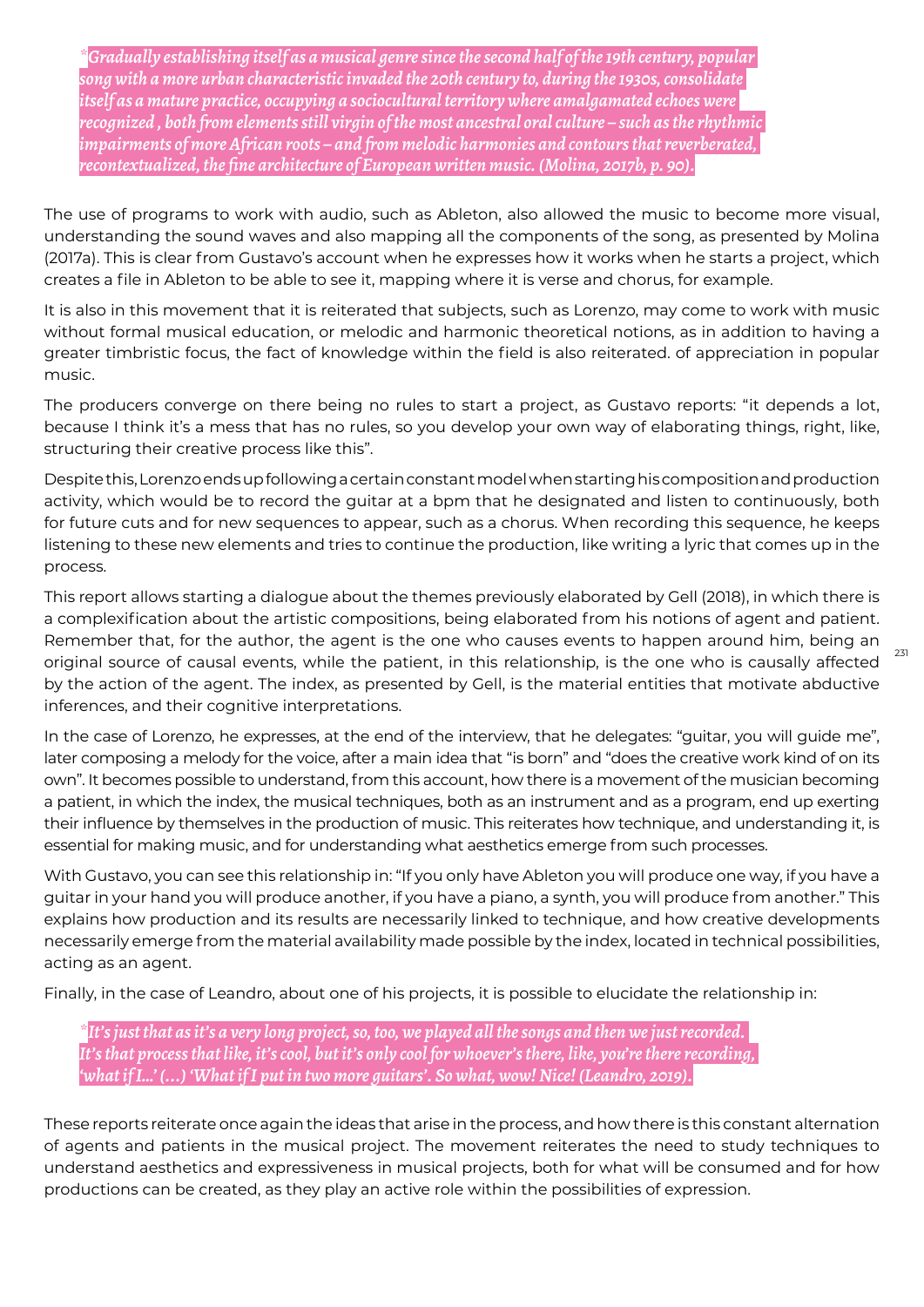*\*Gradually establishing itself as a musical genre since the second half of the 19th century, popular song with a more urban characteristic invaded the 20th century to, during the 1930s, consolidate itself as a mature practice, occupying a sociocultural territory where amalgamated echoes were recognized , both from elements still virgin of the most ancestral oral culture – such as the rhythmic impairments of more African roots – and from melodic harmonies and contours that reverberated, recontextualized, the fine architecture of European written music. (Molina, 2017b, p. 90).*

The use of programs to work with audio, such as Ableton, also allowed the music to become more visual, understanding the sound waves and also mapping all the components of the song, as presented by Molina (2017a). This is clear from Gustavo's account when he expresses how it works when he starts a project, which creates a file in Ableton to be able to see it, mapping where it is verse and chorus, for example.

It is also in this movement that it is reiterated that subjects, such as Lorenzo, may come to work with music without formal musical education, or melodic and harmonic theoretical notions, as in addition to having a greater timbristic focus, the fact of knowledge within the field is also reiterated. of appreciation in popular music.

The producers converge on there being no rules to start a project, as Gustavo reports: "it depends a lot, because I think it's a mess that has no rules, so you develop your own way of elaborating things, right, like, structuring their creative process like this".

Despite this, Lorenzo ends up following a certain constant model when starting his composition and production activity, which would be to record the guitar at a bpm that he designated and listen to continuously, both for future cuts and for new sequences to appear, such as a chorus. When recording this sequence, he keeps listening to these new elements and tries to continue the production, like writing a lyric that comes up in the process.

This report allows starting a dialogue about the themes previously elaborated by Gell (2018), in which there is a complexification about the artistic compositions, being elaborated from his notions of agent and patient. Remember that, for the author, the agent is the one who causes events to happen around him, being an original source of causal events, while the patient, in this relationship, is the one who is causally affected by the action of the agent. The index, as presented by Gell, is the material entities that motivate abductive inferences, and their cognitive interpretations.

In the case of Lorenzo, he expresses, at the end of the interview, that he delegates: "guitar, you will guide me", later composing a melody for the voice, after a main idea that "is born" and "does the creative work kind of on its own". It becomes possible to understand, from this account, how there is a movement of the musician becoming a patient, in which the index, the musical techniques, both as an instrument and as a program, end up exerting their influence by themselves in the production of music. This reiterates how technique, and understanding it, is essential for making music, and for understanding what aesthetics emerge from such processes.

With Gustavo, you can see this relationship in: "If you only have Ableton you will produce one way, if you have a guitar in your hand you will produce another, if you have a piano, a synth, you will produce from another." This explains how production and its results are necessarily linked to technique, and how creative developments necessarily emerge from the material availability made possible by the index, located in technical possibilities, acting as an agent.

Finally, in the case of Leandro, about one of his projects, it is possible to elucidate the relationship in:

*\*It's just that as it's a very long project, so, too, we played all the songs and then we just recorded. It's that process that like, it's cool, but it's only cool for whoever's there, like, you're there recording, 'what if I…' (...) 'What if I put in two more guitars'. So what, wow! Nice! (Leandro, 2019).*

These reports reiterate once again the ideas that arise in the process, and how there is this constant alternation of agents and patients in the musical project. The movement reiterates the need to study techniques to understand aesthetics and expressiveness in musical projects, both for what will be consumed and for how productions can be created, as they play an active role within the possibilities of expression.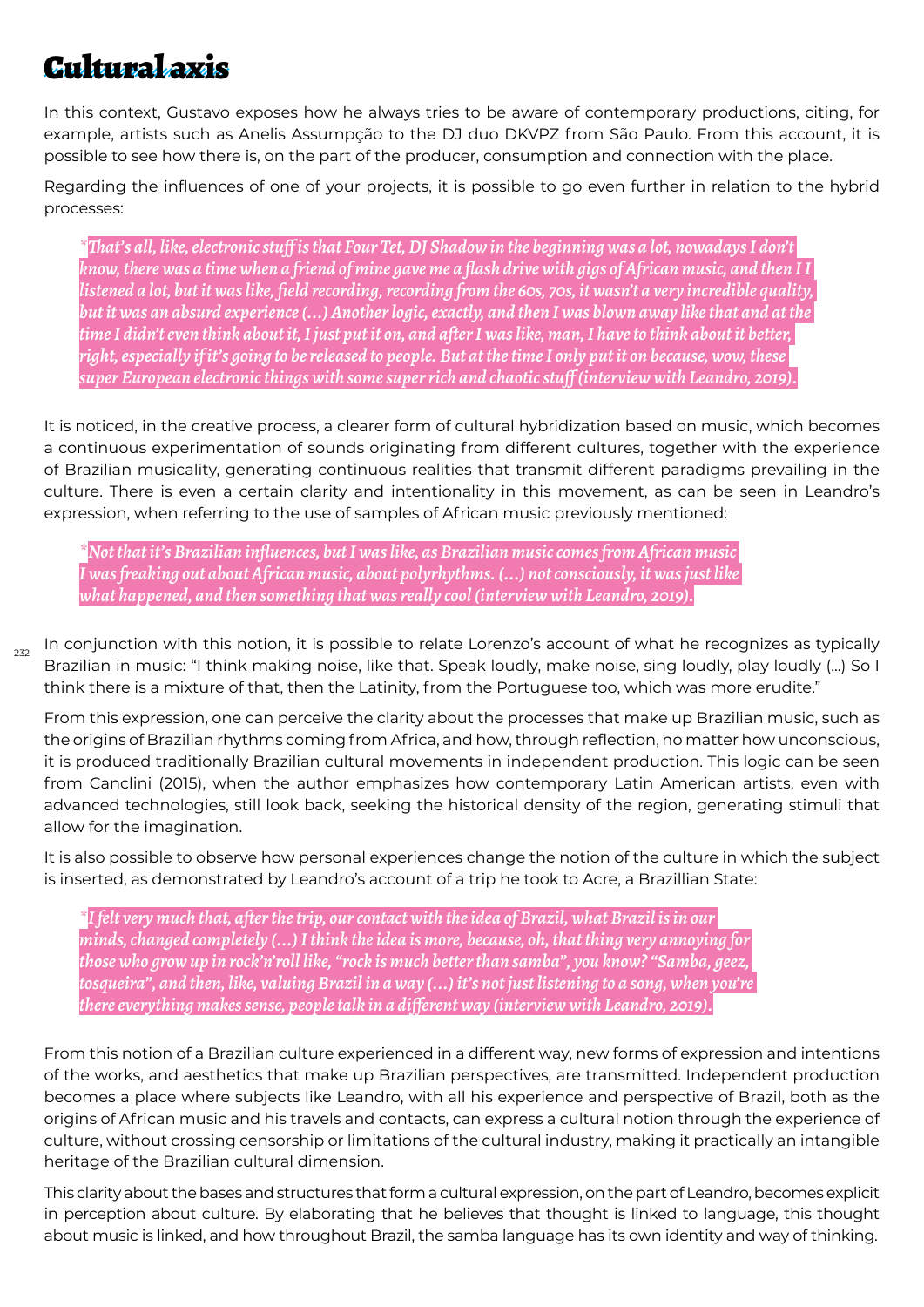### **Cultural azis**

In this context, Gustavo exposes how he always tries to be aware of contemporary productions, citing, for example, artists such as Anelis Assumpção to the DJ duo DKVPZ from São Paulo. From this account, it is possible to see how there is, on the part of the producer, consumption and connection with the place.

Regarding the influences of one of your projects, it is possible to go even further in relation to the hybrid processes:

*\*That's all, like, electronic stuff is that Four Tet, DJ Shadow in the beginning was a lot, nowadays I don't know, there was a time when a friend of mine gave me a flash drive with gigs of African music, and then I I listened a lot, but it was like, field recording, recording from the 60s, 70s, it wasn't a very incredible quality, but it was an absurd experience (...) Another logic, exactly, and then I was blown away like that and at the time I didn't even think about it, I just put it on, and after I was like, man, I have to think about it better, right, especially if it's going to be released to people. But at the time I only put it on because, wow, these super European electronic things with some super rich and chaotic stuff (interview with Leandro, 2019).*

It is noticed, in the creative process, a clearer form of cultural hybridization based on music, which becomes a continuous experimentation of sounds originating from different cultures, together with the experience of Brazilian musicality, generating continuous realities that transmit different paradigms prevailing in the culture. There is even a certain clarity and intentionality in this movement, as can be seen in Leandro's expression, when referring to the use of samples of African music previously mentioned:

*\*Not that it's Brazilian influences, but I was like, as Brazilian music comes from African music I was freaking out about African music, about polyrhythms. (...) not consciously, it was just like what happened, and then something that was really cool (interview with Leandro, 2019).*

 $232$ 

In conjunction with this notion, it is possible to relate Lorenzo's account of what he recognizes as typically Brazilian in music: "I think making noise, like that. Speak loudly, make noise, sing loudly, play loudly (...) So I think there is a mixture of that, then the Latinity, from the Portuguese too, which was more erudite."

From this expression, one can perceive the clarity about the processes that make up Brazilian music, such as the origins of Brazilian rhythms coming from Africa, and how, through reflection, no matter how unconscious, it is produced traditionally Brazilian cultural movements in independent production. This logic can be seen from Canclini (2015), when the author emphasizes how contemporary Latin American artists, even with advanced technologies, still look back, seeking the historical density of the region, generating stimuli that allow for the imagination.

It is also possible to observe how personal experiences change the notion of the culture in which the subject is inserted, as demonstrated by Leandro's account of a trip he took to Acre, a Brazillian State:

*\*I felt very much that, after the trip, our contact with the idea of Brazil, what Brazil is in our minds, changed completely (...) I think the idea is more, because, oh, that thing very annoying for those who grow up in rock'n'roll like, "rock is much better than samba", you know? "Samba, geez, tosqueira", and then, like, valuing Brazil in a way (...) it's not just listening to a song, when you're there everything makes sense, people talk in a different way (interview with Leandro, 2019).*

From this notion of a Brazilian culture experienced in a different way, new forms of expression and intentions of the works, and aesthetics that make up Brazilian perspectives, are transmitted. Independent production becomes a place where subjects like Leandro, with all his experience and perspective of Brazil, both as the origins of African music and his travels and contacts, can express a cultural notion through the experience of culture, without crossing censorship or limitations of the cultural industry, making it practically an intangible heritage of the Brazilian cultural dimension.

This clarity about the bases and structures that form a cultural expression, on the part of Leandro, becomes explicit in perception about culture. By elaborating that he believes that thought is linked to language, this thought about music is linked, and how throughout Brazil, the samba language has its own identity and way of thinking.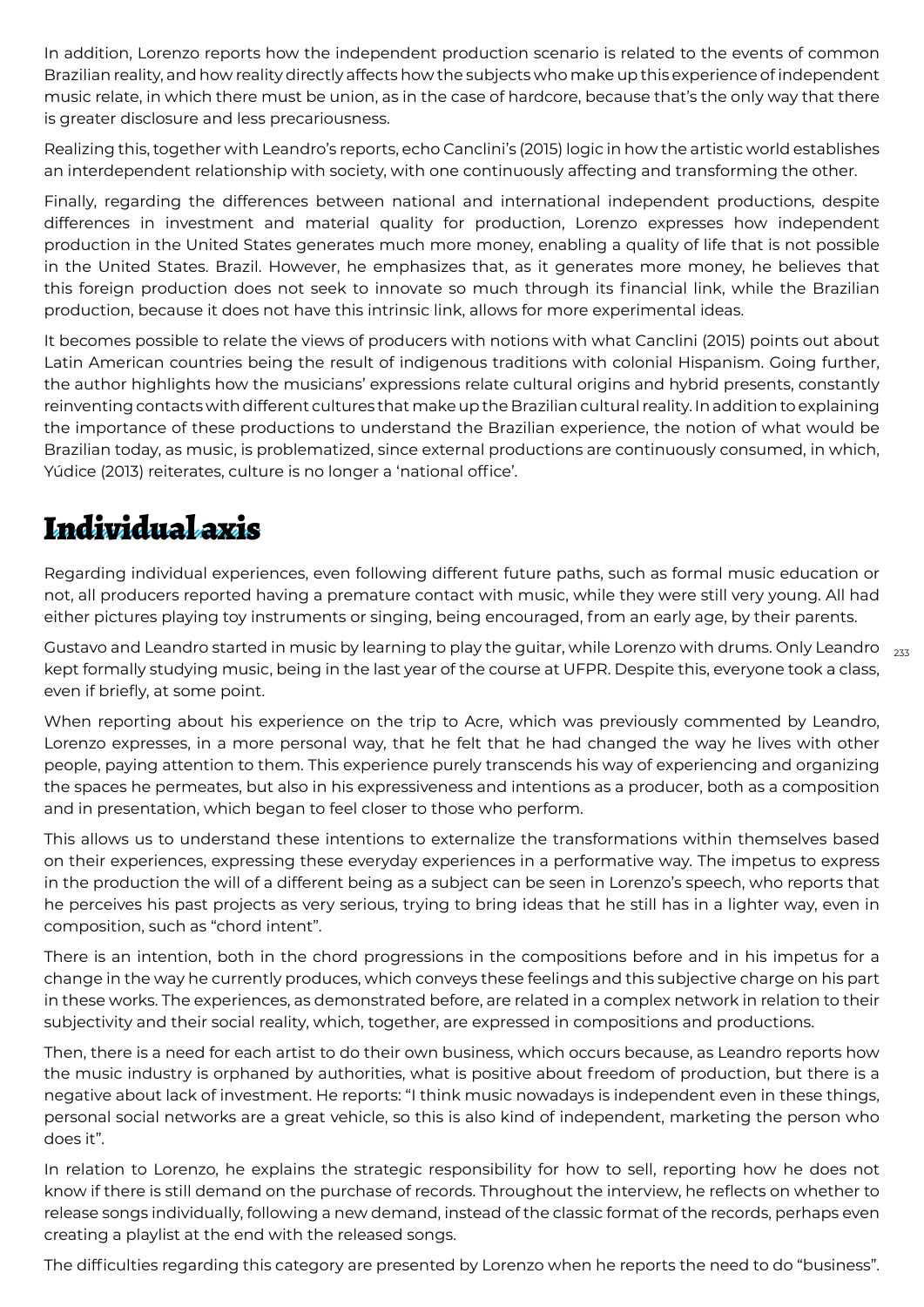In addition, Lorenzo reports how the independent production scenario is related to the events of common Brazilian reality, and how reality directly affects how the subjects who make up this experience of independent music relate, in which there must be union, as in the case of hardcore, because that's the only way that there is greater disclosure and less precariousness.

Realizing this, together with Leandro's reports, echo Canclini's (2015) logic in how the artistic world establishes an interdependent relationship with society, with one continuously affecting and transforming the other.

Finally, regarding the differences between national and international independent productions, despite differences in investment and material quality for production, Lorenzo expresses how independent production in the United States generates much more money, enabling a quality of life that is not possible in the United States. Brazil. However, he emphasizes that, as it generates more money, he believes that this foreign production does not seek to innovate so much through its financial link, while the Brazilian production, because it does not have this intrinsic link, allows for more experimental ideas.

It becomes possible to relate the views of producers with notions with what Canclini (2015) points out about Latin American countries being the result of indigenous traditions with colonial Hispanism. Going further, the author highlights how the musicians' expressions relate cultural origins and hybrid presents, constantly reinventing contacts with different cultures that make up the Brazilian cultural reality. In addition to explaining the importance of these productions to understand the Brazilian experience, the notion of what would be Brazilian today, as music, is problematized, since external productions are continuously consumed, in which, Yúdice (2013) reiterates, culture is no longer a 'national office'.

### Individual axis

Regarding individual experiences, even following different future paths, such as formal music education or not, all producers reported having a premature contact with music, while they were still very young. All had either pictures playing toy instruments or singing, being encouraged, from an early age, by their parents.

Gustavo and Leandro started in music by learning to play the guitar, while Lorenzo with drums. Only Leandro  $\,$   $_{233}$ kept formally studying music, being in the last year of the course at UFPR. Despite this, everyone took a class, even if briefly, at some point.

When reporting about his experience on the trip to Acre, which was previously commented by Leandro, Lorenzo expresses, in a more personal way, that he felt that he had changed the way he lives with other people, paying attention to them. This experience purely transcends his way of experiencing and organizing the spaces he permeates, but also in his expressiveness and intentions as a producer, both as a composition and in presentation, which began to feel closer to those who perform.

This allows us to understand these intentions to externalize the transformations within themselves based on their experiences, expressing these everyday experiences in a performative way. The impetus to express in the production the will of a different being as a subject can be seen in Lorenzo's speech, who reports that he perceives his past projects as very serious, trying to bring ideas that he still has in a lighter way, even in composition, such as "chord intent".

There is an intention, both in the chord progressions in the compositions before and in his impetus for a change in the way he currently produces, which conveys these feelings and this subjective charge on his part in these works. The experiences, as demonstrated before, are related in a complex network in relation to their subjectivity and their social reality, which, together, are expressed in compositions and productions.

Then, there is a need for each artist to do their own business, which occurs because, as Leandro reports how the music industry is orphaned by authorities, what is positive about freedom of production, but there is a negative about lack of investment. He reports: "I think music nowadays is independent even in these things, personal social networks are a great vehicle, so this is also kind of independent, marketing the person who does it".

In relation to Lorenzo, he explains the strategic responsibility for how to sell, reporting how he does not know if there is still demand on the purchase of records. Throughout the interview, he reflects on whether to release songs individually, following a new demand, instead of the classic format of the records, perhaps even creating a playlist at the end with the released songs.

The difficulties regarding this category are presented by Lorenzo when he reports the need to do "business".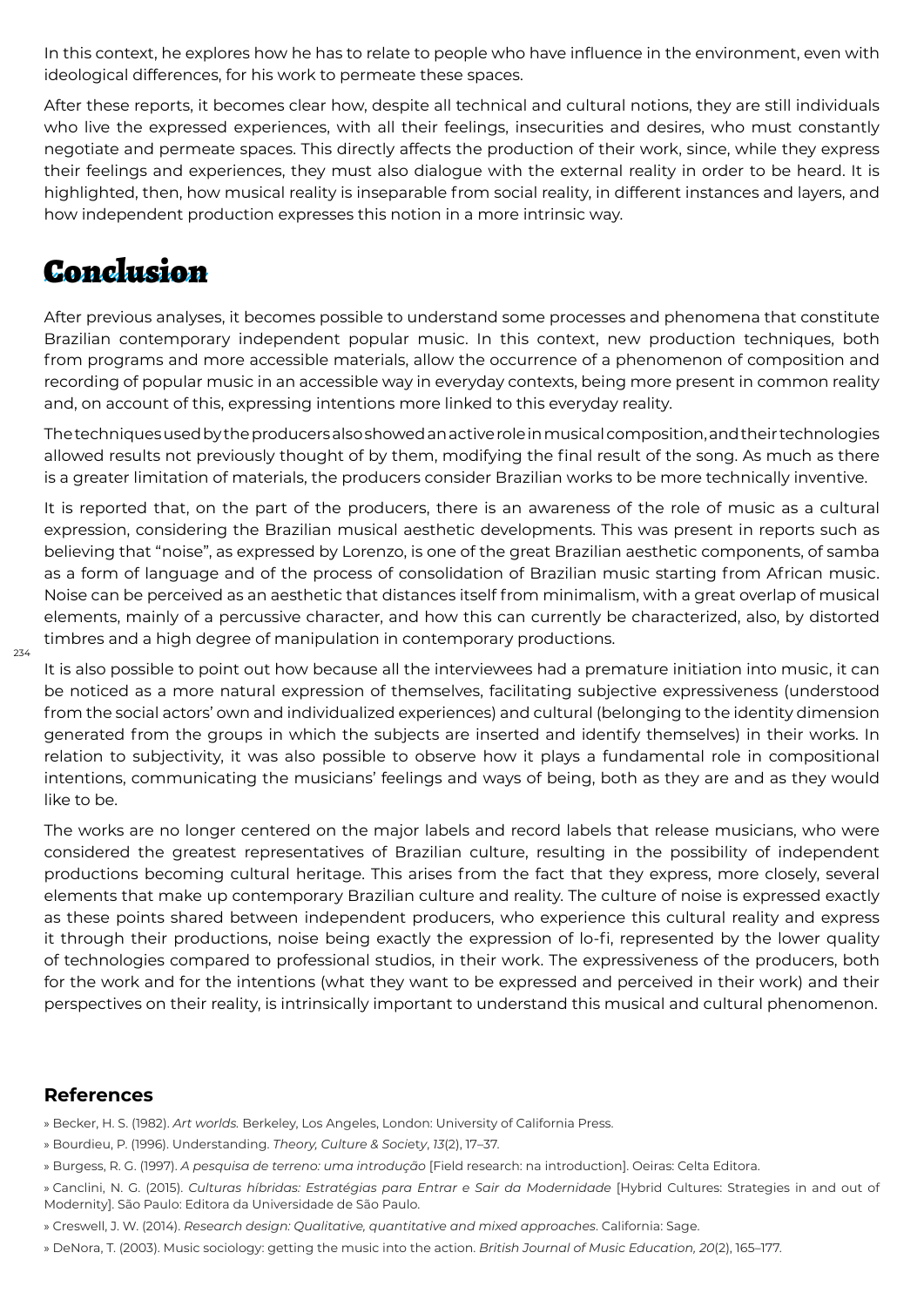In this context, he explores how he has to relate to people who have influence in the environment, even with ideological differences, for his work to permeate these spaces.

After these reports, it becomes clear how, despite all technical and cultural notions, they are still individuals who live the expressed experiences, with all their feelings, insecurities and desires, who must constantly negotiate and permeate spaces. This directly affects the production of their work, since, while they express their feelings and experiences, they must also dialogue with the external reality in order to be heard. It is highlighted, then, how musical reality is inseparable from social reality, in different instances and layers, and how independent production expresses this notion in a more intrinsic way.

### Conclusion

After previous analyses, it becomes possible to understand some processes and phenomena that constitute Brazilian contemporary independent popular music. In this context, new production techniques, both from programs and more accessible materials, allow the occurrence of a phenomenon of composition and recording of popular music in an accessible way in everyday contexts, being more present in common reality and, on account of this, expressing intentions more linked to this everyday reality.

The techniques used by the producers also showed an active role in musical composition, and their technologies allowed results not previously thought of by them, modifying the final result of the song. As much as there is a greater limitation of materials, the producers consider Brazilian works to be more technically inventive.

It is reported that, on the part of the producers, there is an awareness of the role of music as a cultural expression, considering the Brazilian musical aesthetic developments. This was present in reports such as believing that "noise", as expressed by Lorenzo, is one of the great Brazilian aesthetic components, of samba as a form of language and of the process of consolidation of Brazilian music starting from African music. Noise can be perceived as an aesthetic that distances itself from minimalism, with a great overlap of musical elements, mainly of a percussive character, and how this can currently be characterized, also, by distorted timbres and a high degree of manipulation in contemporary productions.

It is also possible to point out how because all the interviewees had a premature initiation into music, it can be noticed as a more natural expression of themselves, facilitating subjective expressiveness (understood from the social actors' own and individualized experiences) and cultural (belonging to the identity dimension generated from the groups in which the subjects are inserted and identify themselves) in their works. In relation to subjectivity, it was also possible to observe how it plays a fundamental role in compositional intentions, communicating the musicians' feelings and ways of being, both as they are and as they would like to be.

The works are no longer centered on the major labels and record labels that release musicians, who were considered the greatest representatives of Brazilian culture, resulting in the possibility of independent productions becoming cultural heritage. This arises from the fact that they express, more closely, several elements that make up contemporary Brazilian culture and reality. The culture of noise is expressed exactly as these points shared between independent producers, who experience this cultural reality and express it through their productions, noise being exactly the expression of lo-fi, represented by the lower quality of technologies compared to professional studios, in their work. The expressiveness of the producers, both for the work and for the intentions (what they want to be expressed and perceived in their work) and their perspectives on their reality, is intrinsically important to understand this musical and cultural phenomenon.

#### **References**

- » Becker, H. S. (1982). *Art worlds.* Berkeley, Los Angeles, London: University of California Press.
- » Bourdieu, P. (1996). Understanding. *Theory, Culture & Soci*et*y*, *13*(2), 17–37.
- » Burgess, R. G. (1997). *A pesquisa de terreno: uma introdução* [Field research: na introduction]. Oeiras: Celta Editora.
- » Canclini, N. G. (2015). *Culturas híbridas: Estratégias para Entrar e Sair da Modernidade* [Hybrid Cultures: Strategies in and out of Modernity]. São Paulo: Editora da Universidade de São Paulo.
- » Creswell, J. W. (2014). *Research design: Qualitative, quantitative and mixed approaches*. California: Sage.
- » DeNora, T. (2003). Music sociology: getting the music into the action. *British Journal of Music Education, 20*(2), 165–177.